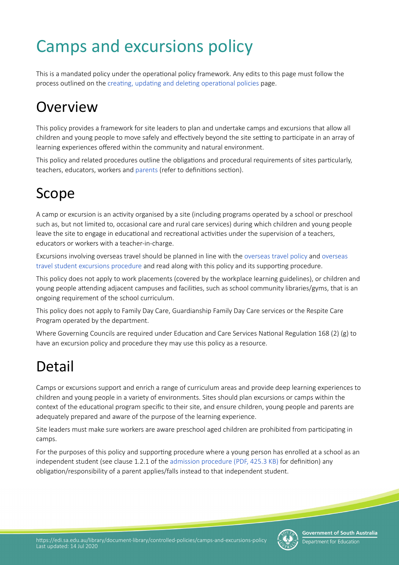# Camps and excursions policy

This is a mandated policy under the operatonal policy framework. Any edits to this page must follow the process outlined on the creating, updating and deleting operational policies page.

# **Overview**

This policy provides a framework for site leaders to plan and undertake camps and excursions that allow all children and young people to move safely and effectively beyond the site setting to participate in an array of learning experiences offered within the community and natural environment.

This policy and related procedures outline the obligations and procedural requirements of sites particularly, teachers, educators, workers and [parents](#parents) (refer to definitions section).

# Scope

A camp or excursion is an actvity organised by a site (including programs operated by a school or preschool such as, but not limited to, occasional care and rural care services) during which children and young people leave the site to engage in educational and recreational activities under the supervision of a teachers, educators or workers with a teacher-in-charge.

Excursions involving overseas travel should be planned in line with the [overseas travel policy](https://edi.sa.edu.au/library/document-library/controlled-policies/overseas-travel-policy) and [overseas](https://edi.sa.edu.au/library/document-library/controlled-procedures/overseas-travel-student-excursions-procedure)  [travel student excursions procedure](https://edi.sa.edu.au/library/document-library/controlled-procedures/overseas-travel-student-excursions-procedure) and read along with this policy and its supporting procedure.

This policy does not apply to work placements (covered by the workplace learning guidelines), or children and young people atending adjacent campuses and facilites, such as school community libraries/gyms, that is an ongoing requirement of the school curriculum.

This policy does not apply to Family Day Care, Guardianship Family Day Care services or the Respite Care Program operated by the department.

Where Governing Councils are required under Education and Care Services National Regulation 168 (2) (g) to have an excursion policy and procedure they may use this policy as a resource.

# Detail

Camps or excursions support and enrich a range of curriculum areas and provide deep learning experiences to children and young people in a variety of environments. Sites should plan excursions or camps within the context of the educational program specific to their site, and ensure children, young people and parents are adequately prepared and aware of the purpose of the learning experience.

Site leaders must make sure workers are aware preschool aged children are prohibited from participating in camps.

For the purposes of this policy and supporting procedure where a young person has enrolled at a school as an independent student (see clause 1.2.1 of the [admission procedure \(PDF, 425.3 KB\)](https://edi.sa.edu.au/library/document-library/controlled-procedures/admission-procedure.pdf) for definition) any obligaton/responsibility of a parent applies/falls instead to that independent student.

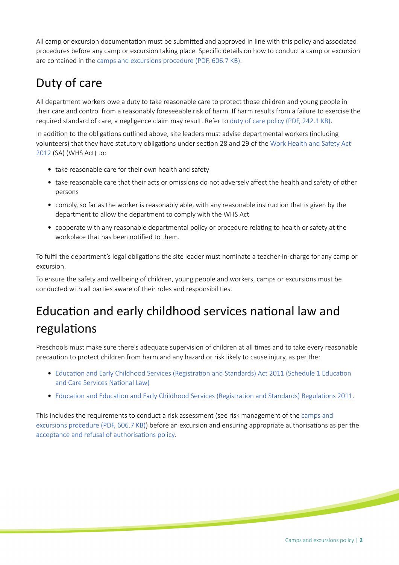All camp or excursion documentaton must be submited and approved in line with this policy and associated procedures before any camp or excursion taking place. Specifc details on how to conduct a camp or excursion are contained in the [camps and excursions procedure \(PDF, 606.7 KB\)](https://edi.sa.edu.au/library/document-library/controlled-procedures/camps-and-excursions-procedure.pdf).

## Duty of care

All department workers owe a duty to take reasonable care to protect those children and young people in their care and control from a reasonably foreseeable risk of harm. If harm results from a failure to exercise the required standard of care, a negligence claim may result. Refer to [duty of care policy \(PDF, 242.1 KB\)](https://edi.sa.edu.au/library/document-library/controlled-policies/duty-of-care-policy.pdf).

In addition to the obligations outlined above, site leaders must advise departmental workers (including volunteers) that they have statutory obligatons under secton 28 and 29 of the [Work Health and Safety Act](https://www.legislation.sa.gov.au/LZ/C/A/WORK%20HEALTH%20AND%20SAFETY%20ACT%202012.aspx)  [2012](https://www.legislation.sa.gov.au/LZ/C/A/WORK%20HEALTH%20AND%20SAFETY%20ACT%202012.aspx) (SA) (WHS Act) to:

- take reasonable care for their own health and safety
- take reasonable care that their acts or omissions do not adversely affect the health and safety of other persons
- comply, so far as the worker is reasonably able, with any reasonable instruction that is given by the department to allow the department to comply with the WHS Act
- cooperate with any reasonable departmental policy or procedure relating to health or safety at the workplace that has been notified to them.

To fulfl the department's legal obligatons the site leader must nominate a teacher-in-charge for any camp or excursion.

To ensure the safety and wellbeing of children, young people and workers, camps or excursions must be conducted with all parties aware of their roles and responsibilities.

# Education and early childhood services national law and regulations

Preschools must make sure there's adequate supervision of children at all tmes and to take every reasonable precauton to protect children from harm and any hazard or risk likely to cause injury, as per the:

- Education and Early Childhood Services (Registration and Standards) Act 2011 (Schedule 1 Education and Care Services National Law)
- Education and Education and Early Childhood Services (Registration and Standards) Regulations 2011.

This includes the requirements to conduct a risk assessment (see risk management of the [camps and](https://edi.sa.edu.au/library/document-library/controlled-procedures/camps-and-excursions-procedure.pdf)  [excursions procedure \(PDF, 606.7 KB\)](https://edi.sa.edu.au/library/document-library/controlled-procedures/camps-and-excursions-procedure.pdf)) before an excursion and ensuring appropriate authorisatons as per the acceptance and refusal of authorisations policy.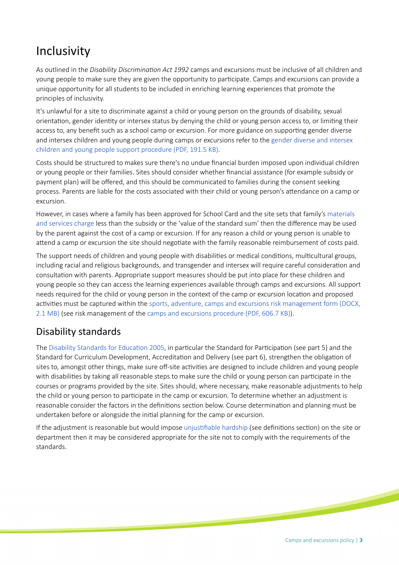## Inclusivity

As outlined in the *Disability Discriminaton Act 1992* camps and excursions must be inclusive of all children and young people to make sure they are given the opportunity to partcipate. Camps and excursions can provide a unique opportunity for all students to be included in enriching learning experiences that promote the principles of inclusivity.

It's unlawful for a site to discriminate against a child or young person on the grounds of disability, sexual orientaton, gender identty or intersex status by denying the child or young person access to, or limitng their access to, any benefit such as a school camp or excursion. For more guidance on supporting gender diverse and intersex children and young people during camps or excursions refer to the [gender diverse and intersex](https://edi.sa.edu.au/library/document-library/controlled-procedures/gender-diverse-intersex-children-young-people-support-procedure.pdf)  [children and young people support procedure \(PDF, 191.5 KB\).](https://edi.sa.edu.au/library/document-library/controlled-procedures/gender-diverse-intersex-children-young-people-support-procedure.pdf)

Costs should be structured to makes sure there's no undue fnancial burden imposed upon individual children or young people or their families. Sites should consider whether fnancial assistance (for example subsidy or payment plan) will be ofered, and this should be communicated to families during the consent seeking process. Parents are liable for the costs associated with their child or young person's atendance on a camp or excursion.

However, in cases where a family has been approved for School Card and the site sets that family's [materials](https://edi.sa.edu.au/finance/school-and-preschool-income/materials-and-services-charge)  [and services charge](https://edi.sa.edu.au/finance/school-and-preschool-income/materials-and-services-charge) less than the subsidy or the 'value of the standard sum' then the diference may be used by the parent against the cost of a camp or excursion. If for any reason a child or young person is unable to atend a camp or excursion the site should negotate with the family reasonable reimbursement of costs paid.

The support needs of children and young people with disabilites or medical conditons, multcultural groups, including racial and religious backgrounds, and transgender and intersex will require careful consideraton and consultation with parents. Appropriate support measures should be put into place for these children and young people so they can access the learning experiences available through camps and excursions. All support needs required for the child or young person in the context of the camp or excursion location and proposed activities must be captured within the sports, adventure, camps and excursions risk management form (DOCX, [2.1 MB\)](https://edi.sa.edu.au/library/document-library/templates/early-childhood-services/camps-and-excursion-risk-management-form.docx) (see risk management of the [camps and excursions procedure \(PDF, 606.7 KB\)](https://edi.sa.edu.au/library/document-library/controlled-procedures/camps-and-excursions-procedure.pdf)).

#### Disability standards

The Disability Standards for Education 2005, in particular the Standard for Participation (see part 5) and the Standard for Curriculum Development, Accreditation and Delivery (see part 6), strengthen the obligation of sites to, amongst other things, make sure off-site activities are designed to include children and young people with disabilities by taking all reasonable steps to make sure the child or young person can participate in the courses or programs provided by the site. Sites should, where necessary, make reasonable adjustments to help the child or young person to partcipate in the camp or excursion. To determine whether an adjustment is reasonable consider the factors in the definitions section below. Course determination and planning must be undertaken before or alongside the inital planning for the camp or excursion.

If the adjustment is reasonable but would impose unjustifiable hardship (see definitions section) on the site or department then it may be considered appropriate for the site not to comply with the requirements of the standards.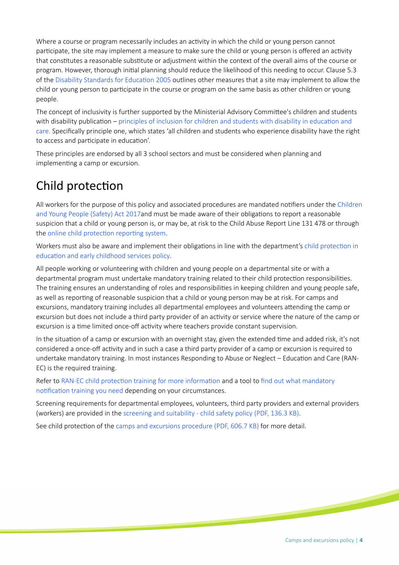Where a course or program necessarily includes an actvity in which the child or young person cannot participate, the site may implement a measure to make sure the child or young person is offered an activity that constitutes a reasonable substitute or adjustment within the context of the overall aims of the course or program. However, thorough inital planning should reduce the likelihood of this needing to occur. Clause 5.3 of the [Disability Standards for Educaton 2005](https://www.legislation.gov.au/Details/F2005L00767) outlines other measures that a site may implement to allow the child or young person to partcipate in the course or program on the same basis as other children or young people.

The concept of inclusivity is further supported by the Ministerial Advisory Commitee's children and students with disability publication – principles of inclusion for children and students with disability in education and [care.](https://www.education.sa.gov.au/department/about-department/minister-education-and-child-development-decd/ministerial-advisory-committee-children-and-students-disability/principles-inclusion-children-students-disability) Specifcally principle one, which states 'all children and students who experience disability have the right to access and participate in education'.

These principles are endorsed by all 3 school sectors and must be considered when planning and implementing a camp or excursion.

## Child protection

All workers for the purpose of this policy and associated procedures are mandated notifiers under the Children [and Young People \(Safety\) Act 2017](https://www.legislation.sa.gov.au/LZ/C/A/CHILDREN%20AND%20YOUNG%20PEOPLE%20(SAFETY)%20ACT%202017.aspx)and must be made aware of their obligations to report a reasonable suspicion that a child or young person is, or may be, at risk to the Child Abuse Report Line 131 478 or through the online child protection reporting system.

Workers must also be aware and implement their obligations in line with the department's child protection in education and early childhood services policy.

All people working or volunteering with children and young people on a departmental site or with a departmental program must undertake mandatory training related to their child protecton responsibilites. The training ensures an understanding of roles and responsibilites in keeping children and young people safe, as well as reporting of reasonable suspicion that a child or young person may be at risk. For camps and excursions, mandatory training includes all departmental employees and volunteers attending the camp or excursion but does not include a third party provider of an activity or service where the nature of the camp or excursion is a time limited once-off activity where teachers provide constant supervision.

In the situation of a camp or excursion with an overnight stay, given the extended time and added risk, it's not considered a once-off activity and in such a case a third party provider of a camp or excursion is required to undertake mandatory training. In most instances Responding to Abuse or Neglect - Education and Care (RAN-EC) is the required training.

Refer to RAN-EC child protection training for more information and a tool to find out what mandatory notification training you need depending on your circumstances.

Screening requirements for departmental employees, volunteers, third party providers and external providers (workers) are provided in the [screening and suitability - child safety policy \(PDF, 136.3 KB\)](https://edi.sa.edu.au/library/document-library/controlled-policies/screening-and-suitability-child-safety-policy.pdf).

See child protection of the [camps and excursions procedure \(PDF, 606.7 KB\)](https://edi.sa.edu.au/library/document-library/controlled-procedures/camps-and-excursions-procedure.pdf) for more detail.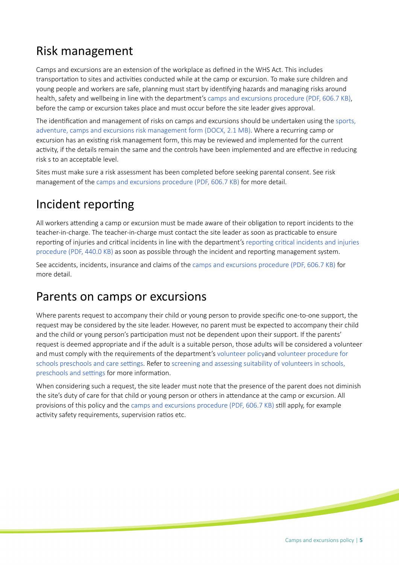### Risk management

Camps and excursions are an extension of the workplace as defned in the WHS Act. This includes transportation to sites and activities conducted while at the camp or excursion. To make sure children and young people and workers are safe, planning must start by identfying hazards and managing risks around health, safety and wellbeing in line with the department's [camps and excursions procedure \(PDF, 606.7 KB\)](https://edi.sa.edu.au/library/document-library/controlled-procedures/camps-and-excursions-procedure.pdf), before the camp or excursion takes place and must occur before the site leader gives approval.

The identification and management of risks on camps and excursions should be undertaken using the sports, [adventure, camps and excursions risk management form \(DOCX, 2.1 MB\).](https://edi.sa.edu.au/library/document-library/templates/early-childhood-services/camps-and-excursion-risk-management-form.docx) Where a recurring camp or excursion has an existing risk management form, this may be reviewed and implemented for the current activity, if the details remain the same and the controls have been implemented and are effective in reducing risk s to an acceptable level.

Sites must make sure a risk assessment has been completed before seeking parental consent. See risk management of the [camps and excursions procedure \(PDF, 606.7 KB\)](https://edi.sa.edu.au/library/document-library/controlled-procedures/camps-and-excursions-procedure.pdf) for more detail.

### Incident reporting

All workers atending a camp or excursion must be made aware of their obligaton to report incidents to the teacher-in-charge. The teacher-in-charge must contact the site leader as soon as practicable to ensure reporting of injuries and critical incidents in line with the department's reporting critical incidents and injuries [procedure \(PDF, 440.0 KB\)](https://edi.sa.edu.au/library/document-library/controlled-procedures/reporting-critical-incidents-and-injuries-procedure.pdf) as soon as possible through the incident and reportng management system.

See accidents, incidents, insurance and claims of the [camps and excursions procedure \(PDF, 606.7 KB\)](https://edi.sa.edu.au/library/document-library/controlled-procedures/camps-and-excursions-procedure.pdf) for more detail.

#### Parents on camps or excursions

Where parents request to accompany their child or young person to provide specific one-to-one support, the request may be considered by the site leader. However, no parent must be expected to accompany their child and the child or young person's participation must not be dependent upon their support. If the parents' request is deemed appropriate and if the adult is a suitable person, those adults will be considered a volunteer and must comply with the requirements of the department's [volunteer policya](https://edi.sa.edu.au/library/document-library/controlled-policies/volunteer-policy)nd [volunteer procedure for](https://edi.sa.edu.au/library/document-library/controlled-procedures/volunteer-procedure)  schools preschools and care settings. Refer to screening and assessing suitability of volunteers in schools, preschools and settings for more information.

When considering such a request, the site leader must note that the presence of the parent does not diminish the site's duty of care for that child or young person or others in atendance at the camp or excursion. All provisions of this policy and the [camps and excursions procedure \(PDF, 606.7 KB\)](https://edi.sa.edu.au/library/document-library/controlled-procedures/camps-and-excursions-procedure.pdf) stll apply, for example activity safety requirements, supervision ratios etc.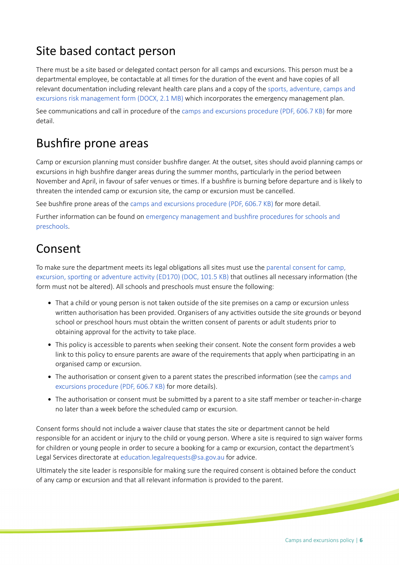### Site based contact person

There must be a site based or delegated contact person for all camps and excursions. This person must be a departmental employee, be contactable at all times for the duration of the event and have copies of all relevant documentaton including relevant health care plans and a copy of the [sports, adventure, camps and](https://edi.sa.edu.au/library/document-library/templates/early-childhood-services/camps-and-excursion-risk-management-form.docx)  [excursions risk management form \(DOCX, 2.1 MB\)](https://edi.sa.edu.au/library/document-library/templates/early-childhood-services/camps-and-excursion-risk-management-form.docx) which incorporates the emergency management plan.

See communications and call in procedure of the [camps and excursions procedure \(PDF, 606.7 KB\)](https://edi.sa.edu.au/library/document-library/controlled-procedures/camps-and-excursions-procedure.pdf) for more detail.

#### Bushfre prone areas

Camp or excursion planning must consider bushfre danger. At the outset, sites should avoid planning camps or excursions in high bushfire danger areas during the summer months, particularly in the period between November and April, in favour of safer venues or tmes. If a bushfre is burning before departure and is likely to threaten the intended camp or excursion site, the camp or excursion must be cancelled.

See bushfre prone areas of the [camps and excursions procedure \(PDF, 606.7 KB\)](https://edi.sa.edu.au/library/document-library/controlled-procedures/camps-and-excursions-procedure.pdf) for more detail.

Further information can be found on emergency management and bushfire procedures for schools and [preschools.](https://edi.sa.edu.au/operations-and-management/emergency-management/emergency-policies-and-procedures)

#### Consent

To make sure the department meets its legal obligations all sites must use the parental consent for camp, excursion, sporting or adventure activity (ED170) (DOC, 101.5 KB) that outlines all necessary information (the form must not be altered). All schools and preschools must ensure the following:

- That a child or young person is not taken outside of the site premises on a camp or excursion unless written authorisation has been provided. Organisers of any activities outside the site grounds or beyond school or preschool hours must obtain the written consent of parents or adult students prior to obtaining approval for the activity to take place.
- This policy is accessible to parents when seeking their consent. Note the consent form provides a web link to this policy to ensure parents are aware of the requirements that apply when participating in an organised camp or excursion.
- The authorisation or consent given to a parent states the prescribed information (see the camps and [excursions procedure \(PDF, 606.7 KB\)](https://edi.sa.edu.au/library/document-library/controlled-procedures/camps-and-excursions-procedure.pdf) for more details).
- The authorisation or consent must be submitted by a parent to a site staff member or teacher-in-charge no later than a week before the scheduled camp or excursion.

Consent forms should not include a waiver clause that states the site or department cannot be held responsible for an accident or injury to the child or young person. Where a site is required to sign waiver forms for children or young people in order to secure a booking for a camp or excursion, contact the department's Legal Services directorate at education.legalrequests@sa.gov.au for advice.

Ultmately the site leader is responsible for making sure the required consent is obtained before the conduct of any camp or excursion and that all relevant informaton is provided to the parent.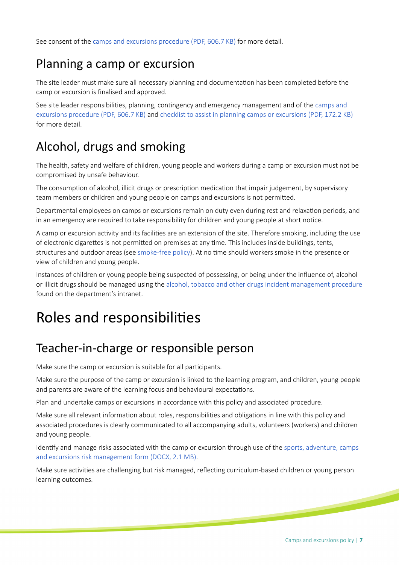See consent of the [camps and excursions procedure \(PDF, 606.7 KB\)](https://edi.sa.edu.au/library/document-library/controlled-procedures/camps-and-excursions-procedure.pdf) for more detail.

#### Planning a camp or excursion

The site leader must make sure all necessary planning and documentaton has been completed before the camp or excursion is fnalised and approved.

See site leader responsibilities, planning, contingency and emergency management and of the camps and [excursions procedure \(PDF, 606.7 KB\)](https://edi.sa.edu.au/library/document-library/controlled-procedures/camps-and-excursions-procedure.pdf) and [checklist to assist in planning camps or excursions \(PDF, 172.2 KB\)](https://edi.sa.edu.au/library/document-library/controlled-procedures/checklist-to-assist-in-planning-camps-or-excursions.pdf) for more detail.

### Alcohol, drugs and smoking

The health, safety and welfare of children, young people and workers during a camp or excursion must not be compromised by unsafe behaviour.

The consumption of alcohol, illicit drugs or prescription medication that impair judgement, by supervisory team members or children and young people on camps and excursions is not permited.

Departmental employees on camps or excursions remain on duty even during rest and relaxaton periods, and in an emergency are required to take responsibility for children and young people at short notice.

A camp or excursion actvity and its facilites are an extension of the site. Therefore smoking, including the use of electronic cigaretes is not permited on premises at any tme. This includes inside buildings, tents, structures and outdoor areas (see [smoke-free policy\)](https://edi.sa.edu.au/library/document-library/controlled-policies/smoke-free-policy). At no tme should workers smoke in the presence or view of children and young people.

Instances of children or young people being suspected of possessing, or being under the infuence of, alcohol or illicit drugs should be managed using the [alcohol, tobacco and other drugs incident management procedure](https://edi.sa.edu.au/library/document-library/controlled-procedures/alcohol,-tobacco-and-other-drugs-incident-management-procedure) found on the department's intranet.

# Roles and responsibilites

#### Teacher-in-charge or responsible person

Make sure the camp or excursion is suitable for all participants.

Make sure the purpose of the camp or excursion is linked to the learning program, and children, young people and parents are aware of the learning focus and behavioural expectations.

Plan and undertake camps or excursions in accordance with this policy and associated procedure.

Make sure all relevant information about roles, responsibilities and obligations in line with this policy and associated procedures is clearly communicated to all accompanying adults, volunteers (workers) and children and young people.

Identfy and manage risks associated with the camp or excursion through use of the [sports, adventure, camps](https://edi.sa.edu.au/library/document-library/templates/early-childhood-services/camps-and-excursion-risk-management-form.docx)  [and excursions risk management form \(DOCX, 2.1 MB\).](https://edi.sa.edu.au/library/document-library/templates/early-childhood-services/camps-and-excursion-risk-management-form.docx)

Make sure actvites are challenging but risk managed, refectng curriculum-based children or young person learning outcomes.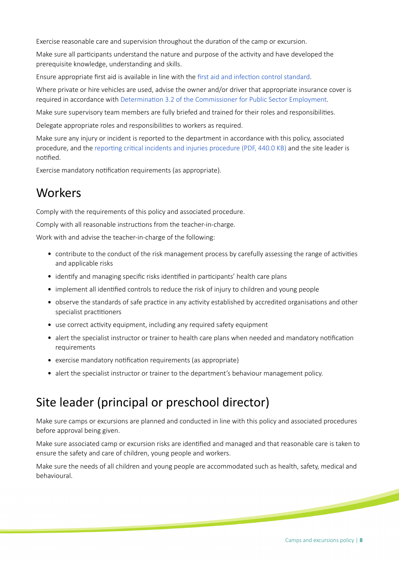Exercise reasonable care and supervision throughout the duration of the camp or excursion.

Make sure all participants understand the nature and purpose of the activity and have developed the prerequisite knowledge, understanding and skills.

Ensure appropriate frst aid is available in line with the [frst aid and infecton control standard.](https://edi.sa.edu.au/library/document-library/controlled-standards/first-aid-and-infection-control-standard)

Where private or hire vehicles are used, advise the owner and/or driver that appropriate insurance cover is required in accordance with Determination 3.2 of the Commissioner for Public Sector Employment.

Make sure supervisory team members are fully briefed and trained for their roles and responsibilites.

Delegate appropriate roles and responsibilities to workers as required.

Make sure any injury or incident is reported to the department in accordance with this policy, associated procedure, and the reporting critical incidents and injuries procedure (PDF, 440.0 KB) and the site leader is notified.

Exercise mandatory notification requirements (as appropriate).

#### Workers

Comply with the requirements of this policy and associated procedure.

Comply with all reasonable instructions from the teacher-in-charge.

Work with and advise the teacher-in-charge of the following:

- contribute to the conduct of the risk management process by carefully assessing the range of activities and applicable risks
- identify and managing specific risks identified in participants' health care plans
- implement all identified controls to reduce the risk of injury to children and young people
- observe the standards of safe practice in any activity established by accredited organisations and other specialist practitioners
- use correct activity equipment, including any required safety equipment
- alert the specialist instructor or trainer to health care plans when needed and mandatory notification requirements
- exercise mandatory notification requirements (as appropriate)
- alert the specialist instructor or trainer to the department's behaviour management policy.

### Site leader (principal or preschool director)

Make sure camps or excursions are planned and conducted in line with this policy and associated procedures before approval being given.

Make sure associated camp or excursion risks are identified and managed and that reasonable care is taken to ensure the safety and care of children, young people and workers.

Make sure the needs of all children and young people are accommodated such as health, safety, medical and behavioural.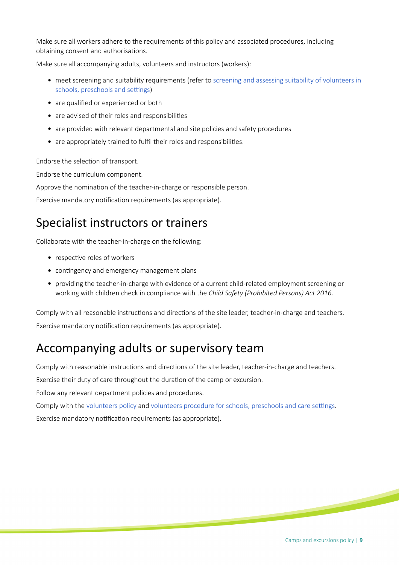Make sure all workers adhere to the requirements of this policy and associated procedures, including obtaining consent and authorisations.

Make sure all accompanying adults, volunteers and instructors (workers):

- meet screening and suitability requirements (refer to screening and assessing suitability of volunteers in schools, preschools and settings)
- are qualified or experienced or both
- are advised of their roles and responsibilities
- are provided with relevant departmental and site policies and safety procedures
- are appropriately trained to fulfil their roles and responsibilities.

Endorse the selection of transport.

Endorse the curriculum component.

Approve the nomination of the teacher-in-charge or responsible person.

Exercise mandatory notification requirements (as appropriate).

#### Specialist instructors or trainers

Collaborate with the teacher-in-charge on the following:

- respective roles of workers
- contingency and emergency management plans
- providing the teacher-in-charge with evidence of a current child-related employment screening or working with children check in compliance with the *Child Safety (Prohibited Persons) Act 2016*.

Comply with all reasonable instructions and directions of the site leader, teacher-in-charge and teachers. Exercise mandatory notification requirements (as appropriate).

#### Accompanying adults or supervisory team

Comply with reasonable instructions and directions of the site leader, teacher-in-charge and teachers.

Exercise their duty of care throughout the duration of the camp or excursion.

Follow any relevant department policies and procedures.

Comply with the [volunteers policy](https://edi.sa.edu.au/library/document-library/controlled-policies/volunteer-policy) and volunteers procedure for schools, preschools and care settings.

Exercise mandatory notification requirements (as appropriate).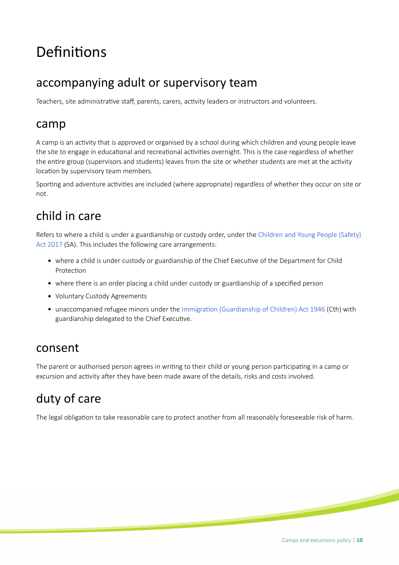# Definitions

#### accompanying adult or supervisory team

Teachers, site administrative staff, parents, carers, activity leaders or instructors and volunteers.

#### camp

A camp is an actvity that is approved or organised by a school during which children and young people leave the site to engage in educational and recreational activities overnight. This is the case regardless of whether the entre group (supervisors and students) leaves from the site or whether students are met at the actvity location by supervisory team members.

Sporting and adventure activities are included (where appropriate) regardless of whether they occur on site or not.

### child in care

Refers to where a child is under a guardianship or custody order, under the [Children and Young People \(Safety\)](https://www.legislation.sa.gov.au/LZ/C/A/CHILDREN%20AND%20YOUNG%20PEOPLE%20(SAFETY)%20ACT%202017.aspx)  [Act 2017](https://www.legislation.sa.gov.au/LZ/C/A/CHILDREN%20AND%20YOUNG%20PEOPLE%20(SAFETY)%20ACT%202017.aspx) (SA). This includes the following care arrangements:

- where a child is under custody or guardianship of the Chief Executve of the Department for Child Protection
- where there is an order placing a child under custody or guardianship of a specifed person
- Voluntary Custody Agreements
- unaccompanied refugee minors under the [Immigraton \(Guardianship of Children\) Act 1946](http://www6.austlii.edu.au/cgi-bin/viewdb/au/legis/cth/consol_act/ioca1946337) (Cth) with guardianship delegated to the Chief Executve.

#### consent

The parent or authorised person agrees in writing to their child or young person participating in a camp or excursion and activity after they have been made aware of the details, risks and costs involved.

## duty of care

The legal obligation to take reasonable care to protect another from all reasonably foreseeable risk of harm.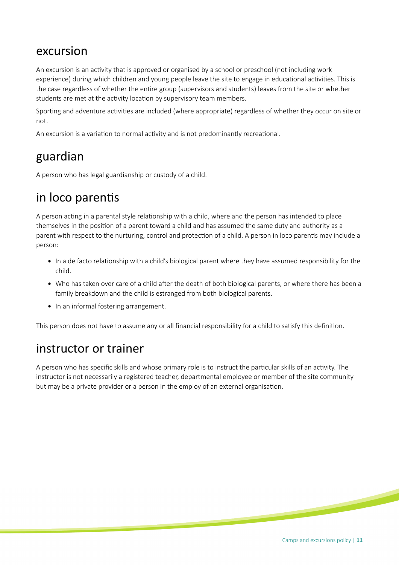#### excursion

An excursion is an actvity that is approved or organised by a school or preschool (not including work experience) during which children and young people leave the site to engage in educational activities. This is the case regardless of whether the entre group (supervisors and students) leaves from the site or whether students are met at the activity location by supervisory team members.

Sporting and adventure activities are included (where appropriate) regardless of whether they occur on site or not.

An excursion is a variation to normal activity and is not predominantly recreational.

#### guardian

A person who has legal guardianship or custody of a child.

### in loco parentis

A person acting in a parental style relationship with a child, where and the person has intended to place themselves in the positon of a parent toward a child and has assumed the same duty and authority as a parent with respect to the nurturing, control and protection of a child. A person in loco parentis may include a person:

- In a de facto relationship with a child's biological parent where they have assumed responsibility for the child.
- Who has taken over care of a child after the death of both biological parents, or where there has been a family breakdown and the child is estranged from both biological parents.
- In an informal fostering arrangement.

This person does not have to assume any or all financial responsibility for a child to satisfy this definition.

#### instructor or trainer

A person who has specifc skills and whose primary role is to instruct the partcular skills of an actvity. The instructor is not necessarily a registered teacher, departmental employee or member of the site community but may be a private provider or a person in the employ of an external organisaton.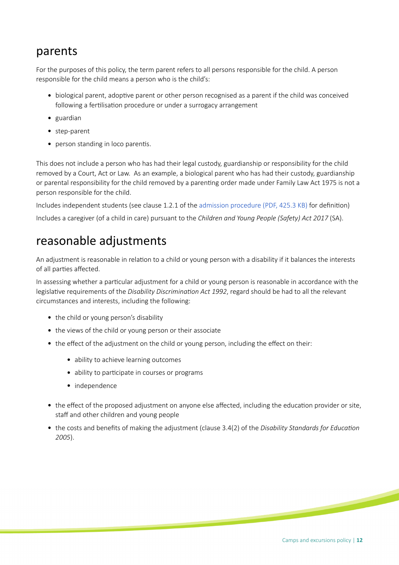#### parents

For the purposes of this policy, the term parent refers to all persons responsible for the child. A person responsible for the child means a person who is the child's:

- biological parent, adoptive parent or other person recognised as a parent if the child was conceived following a fertilisation procedure or under a surrogacy arrangement
- guardian
- step-parent
- person standing in loco parentis.

This does not include a person who has had their legal custody, guardianship or responsibility for the child removed by a Court, Act or Law. As an example, a biological parent who has had their custody, guardianship or parental responsibility for the child removed by a parentng order made under Family Law Act 1975 is not a person responsible for the child.

Includes independent students (see clause 1.2.1 of the [admission procedure \(PDF, 425.3 KB\)](https://edi.sa.edu.au/library/document-library/controlled-procedures/admission-procedure.pdf) for defniton) Includes a caregiver (of a child in care) pursuant to the *Children and Young People (Safety) Act 2017* (SA).

#### reasonable adjustments

An adjustment is reasonable in relation to a child or young person with a disability if it balances the interests of all parties affected.

In assessing whether a particular adjustment for a child or young person is reasonable in accordance with the legislatve requirements of the *Disability Discriminaton Act 1992*, regard should be had to all the relevant circumstances and interests, including the following:

- the child or young person's disability
- the views of the child or young person or their associate
- the effect of the adjustment on the child or young person, including the effect on their:
	- ability to achieve learning outcomes
	- ability to participate in courses or programs
	- independence
- the effect of the proposed adjustment on anyone else affected, including the education provider or site, staff and other children and young people
- the costs and benefts of making the adjustment (clause 3.4(2) of the *Disability Standards for Educaton 2005*).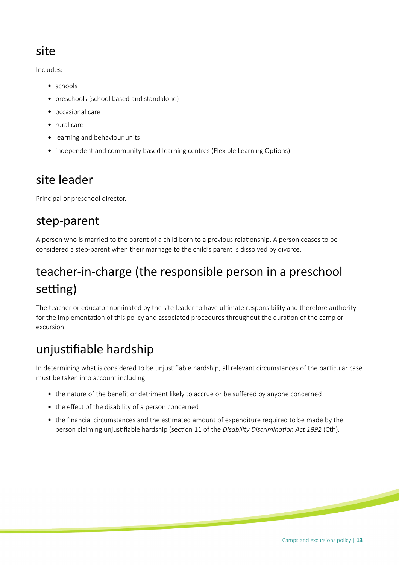#### site

Includes:

- schools
- preschools (school based and standalone)
- occasional care
- rural care
- learning and behaviour units
- independent and community based learning centres (Flexible Learning Options).

#### site leader

Principal or preschool director.

#### step-parent

A person who is married to the parent of a child born to a previous relatonship. A person ceases to be considered a step-parent when their marriage to the child's parent is dissolved by divorce.

# teacher-in-charge (the responsible person in a preschool setting)

The teacher or educator nominated by the site leader to have ultmate responsibility and therefore authority for the implementation of this policy and associated procedures throughout the duration of the camp or excursion.

## unjustifiable hardship

In determining what is considered to be unjustifiable hardship, all relevant circumstances of the particular case must be taken into account including:

- the nature of the benefit or detriment likely to accrue or be suffered by anyone concerned
- the effect of the disability of a person concerned
- the fnancial circumstances and the estmated amount of expenditure required to be made by the person claiming unjustifiable hardship (section 11 of the *Disability Discrimination Act 1992* (Cth).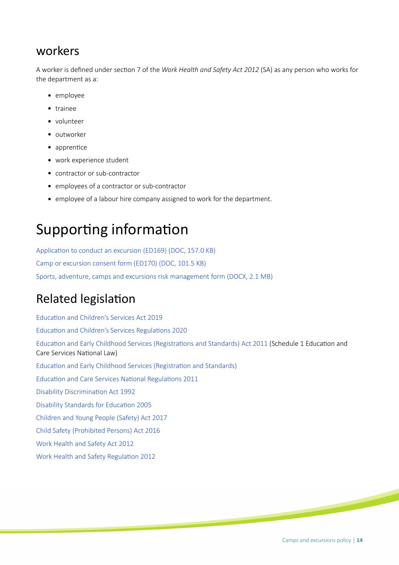#### workers

A worker is defned under secton 7 of the *Work Health and Safety Act 2012* (SA) as any person who works for the department as a:

- employee
- trainee
- volunteer
- outworker
- $\bullet$  apprentice
- work experience student
- contractor or sub-contractor
- employees of a contractor or sub-contractor
- employee of a labour hire company assigned to work for the department.

# Supporting information

Application to conduct an excursion (ED169) (DOC, 157.0 KB) [Camp or excursion consent form \(ED170\) \(DOC, 101.5 KB\)](https://edi.sa.edu.au/library/document-library/form/early-childhood/ED170-consent-form-for-camp-or-excursion.doc) [Sports, adventure, camps and excursions risk management form \(DOCX, 2.1 MB\)](https://edi.sa.edu.au/library/document-library/templates/early-childhood-services/camps-and-excursion-risk-management-form.docx)

#### **Related legislation**

Education and Children's Services Act 2019 Education and Children's Services Regulations 2020 Education and Early Childhood Services (Registrations and Standards) Act 2011 (Schedule 1 Education and Care Services National Law) Education and Early Childhood Services (Registration and Standards) Education and Care Services National Regulations 2011 Disability Discrimination Act 1992 Disability Standards for Education 2005 [Children and Young People \(Safety\) Act 2017](https://www.legislation.sa.gov.au/LZ/C/A/CHILDREN%20AND%20YOUNG%20PEOPLE%20(SAFETY)%20ACT%202017.aspx) [Child Safety \(Prohibited Persons\) Act 2016](https://www.legislation.sa.gov.au/LZ/C/A/CHILD%20SAFETY%20(PROHIBITED%20PERSONS)%20ACT%202016.aspx) [Work Health and Safety Act 2012](https://legislation.sa.gov.au/LZ/C/A/WORK%20HEALTH%20AND%20SAFETY%20ACT%202012.aspx) Work Health and Safety Regulation 2012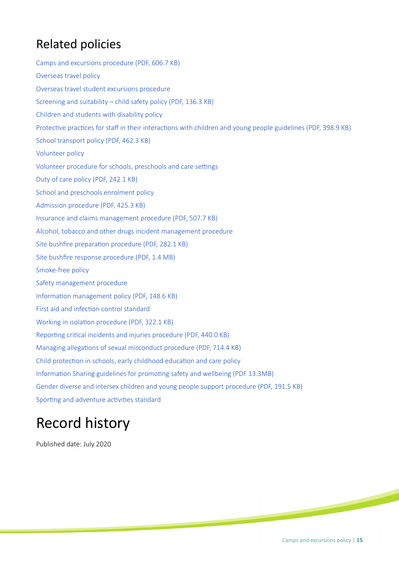## Related policies

[Camps and excursions procedure \(PDF, 606.7 KB\)](https://edi.sa.edu.au/library/document-library/controlled-procedures/camps-and-excursions-procedure.pdf) [Overseas travel policy](https://edi.sa.edu.au/library/document-library/controlled-policies/overseas-travel-policy) [Overseas travel student excursions procedure](https://edi.sa.edu.au/library/document-library/controlled-procedures/overseas-travel-student-excursions-procedure) [Screening and suitability – child safety policy \(PDF, 136.3 KB\)](https://edi.sa.edu.au/library/document-library/controlled-policies/screening-and-suitability-child-safety-policy.pdf) [Children and students with disability policy](https://edi.sa.edu.au/library/document-library/controlled-policies/children-and-students-with-disability-policy) Protective practices for staff in their interactions with children and young people guidelines (PDF, 398.9 KB) [School transport policy \(PDF, 462.3 KB\)](https://edi.sa.edu.au/library/document-library/controlled-policies/school-transport-policy.pdf) [Volunteer policy](https://edi.sa.edu.au/library/document-library/controlled-policies/volunteer-policy) Volunteer procedure for schools, preschools and care settings [Duty of care policy \(PDF, 242.1 KB\)](https://edi.sa.edu.au/library/document-library/controlled-policies/duty-of-care-policy.pdf) [School and preschools enrolment policy](https://edi.sa.edu.au/library/document-library/controlled-policies/school-and-preschool-enrolment-policy) [Admission procedure \(PDF, 425.3 KB\)](https://edi.sa.edu.au/library/document-library/controlled-procedures/admission-procedure.pdf) [Insurance and claims management procedure \(PDF, 507.7 KB\)](https://edi.sa.edu.au/library/document-library/controlled-procedures/insurance-claims-management-procedure.pdf) [Alcohol, tobacco and other drugs incident management procedure](https://edi.sa.edu.au/library/document-library/controlled-procedures/alcohol,-tobacco-and-other-drugs-incident-management-procedure) Site bushfire preparation procedure (PDF, 282.1 KB) [Site bushfre response procedure \(PDF, 1.4 MB\)](https://edi.sa.edu.au/library/document-library/controlled-procedures/site_bushfire_response_procedure.pdf.pdf) [Smoke-free policy](https://edi.sa.edu.au/library/document-library/controlled-policies/smoke-free-policy) [Safety management procedure](https://edi.sa.edu.au/library/document-library/controlled-procedures/safety-management-procedure) Information management policy (PDF, 148.6 KB) First aid and infection control standard Working in isolation procedure (PDF, 322.1 KB) Reporting critical incidents and injuries procedure (PDF, 440.0 KB) Managing allegations of sexual misconduct procedure (PDF, 714.4 KB) Child protection in schools, early childhood education and care policy Information Sharing guidelines for promoting safety and wellbeing (PDF 13.3MB) [Gender diverse and intersex children and young people support procedure \(PDF, 191.5 KB\)](https://edi.sa.edu.au/library/document-library/controlled-procedures/gender-diverse-intersex-children-young-people-support-procedure.pdf) Sporting and adventure activities standard

# Record history

Published date: July 2020